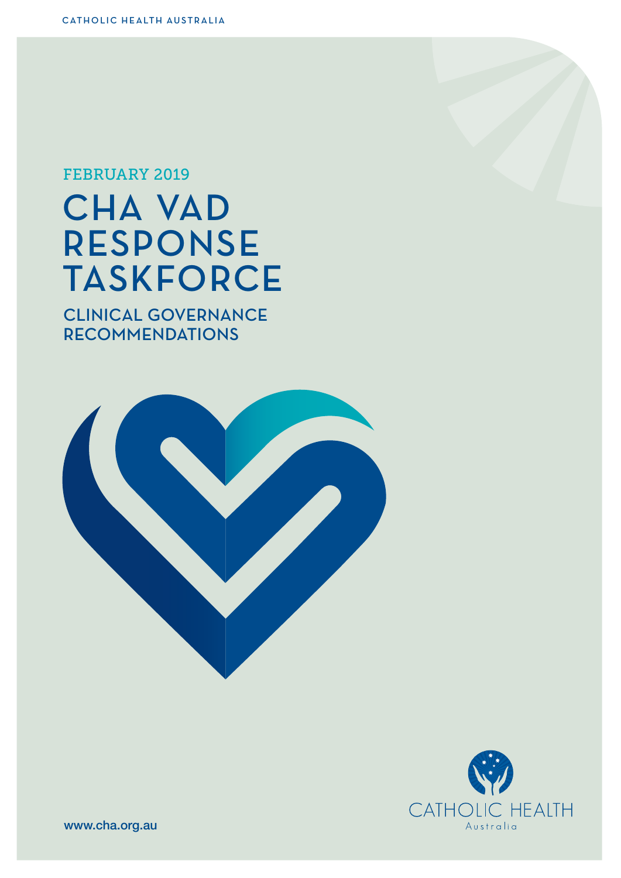### FEBRUARY 2019

# CHA VAD RESPONSE TASKFORCE

CLINICAL GOVERNANCE RECOMMENDATIONS





www.cha.org.au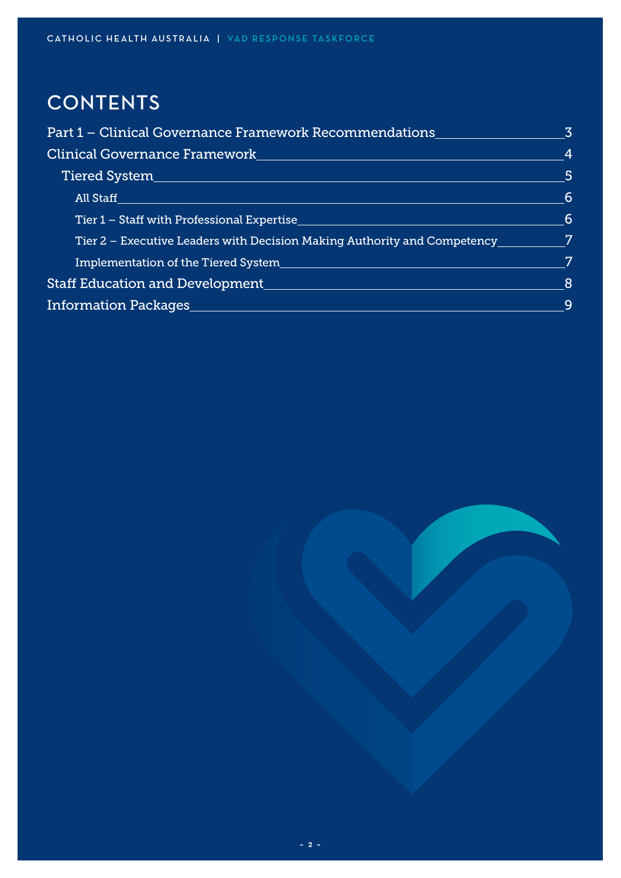### **CONTENTS**

| Part 1 - Clinical Governance Framework Recommendations                   | $\overline{3}$ |
|--------------------------------------------------------------------------|----------------|
| Clinical Governance Framework                                            | $\overline{4}$ |
| Tiered System                                                            | 5              |
| <b>All Staff</b>                                                         | 6              |
| Tier 1 - Staff with Professional Expertise                               | 6              |
| Tier 2 – Executive Leaders with Decision Making Authority and Competency |                |
| Implementation of the Tiered System                                      |                |
| <b>Staff Education and Development</b>                                   | 8              |
| <b>Information Packages</b>                                              | 9              |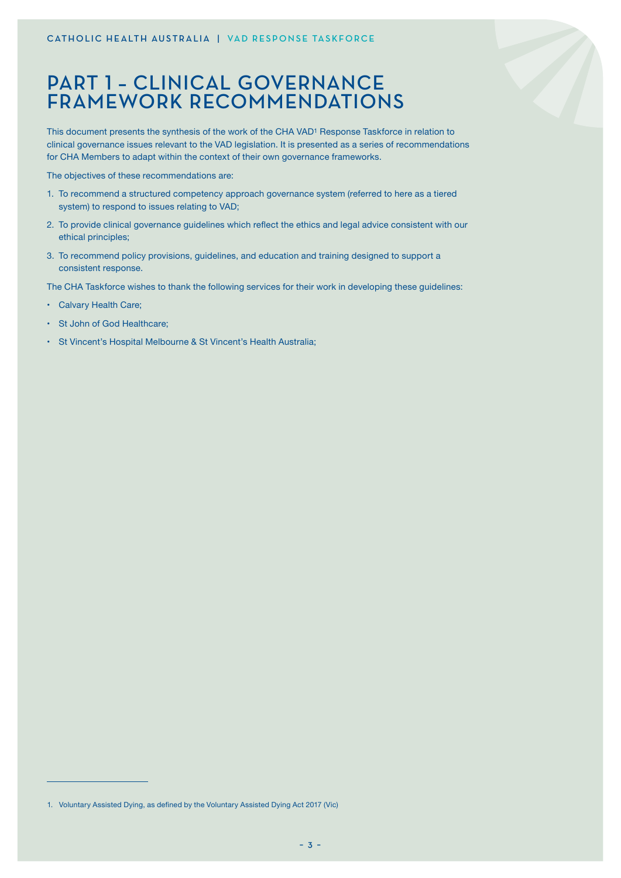### <span id="page-2-0"></span>PART 1 – CLINICAL GOVERNANCE FRAMEWORK RECOMMENDATIONS

This document presents the synthesis of the work of the CHA VAD<sup>1</sup> Response Taskforce in relation to clinical governance issues relevant to the VAD legislation. It is presented as a series of recommendations for CHA Members to adapt within the context of their own governance frameworks.

The objectives of these recommendations are:

- 1. To recommend a structured competency approach governance system (referred to here as a tiered system) to respond to issues relating to VAD;
- 2. To provide clinical governance guidelines which reflect the ethics and legal advice consistent with our ethical principles;
- 3. To recommend policy provisions, guidelines, and education and training designed to support a consistent response.

The CHA Taskforce wishes to thank the following services for their work in developing these guidelines:

- Calvary Health Care;
- St John of God Healthcare;
- St Vincent's Hospital Melbourne & St Vincent's Health Australia;

<sup>1.</sup> Voluntary Assisted Dying, as defined by the Voluntary Assisted Dying Act 2017 (Vic)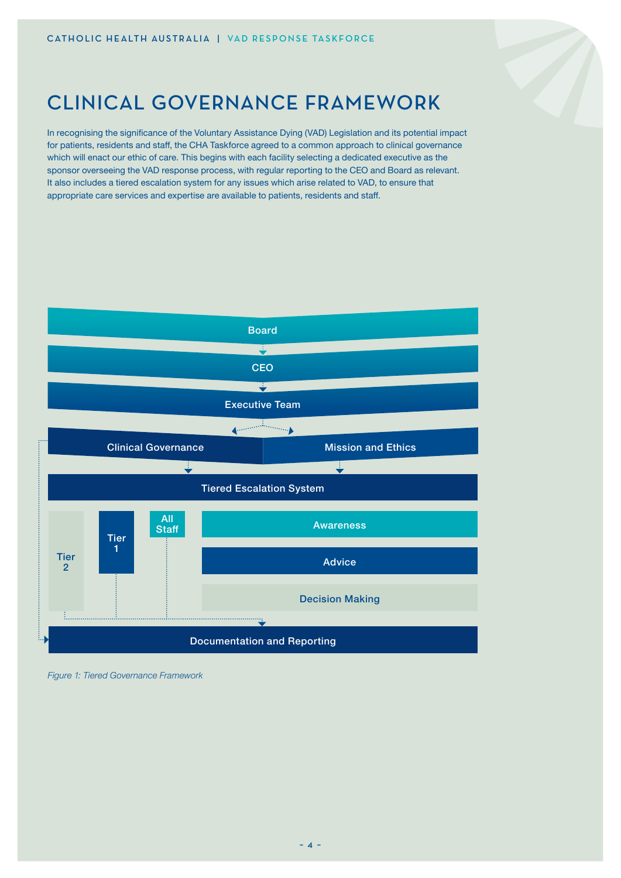### <span id="page-3-0"></span>CLINICAL GOVERNANCE FRAMEWORK

In recognising the significance of the Voluntary Assistance Dying (VAD) Legislation and its potential impact for patients, residents and staff, the CHA Taskforce agreed to a common approach to clinical governance which will enact our ethic of care. This begins with each facility selecting a dedicated executive as the sponsor overseeing the VAD response process, with regular reporting to the CEO and Board as relevant. It also includes a tiered escalation system for any issues which arise related to VAD, to ensure that appropriate care services and expertise are available to patients, residents and staff.



*Figure 1: Tiered Governance Framework*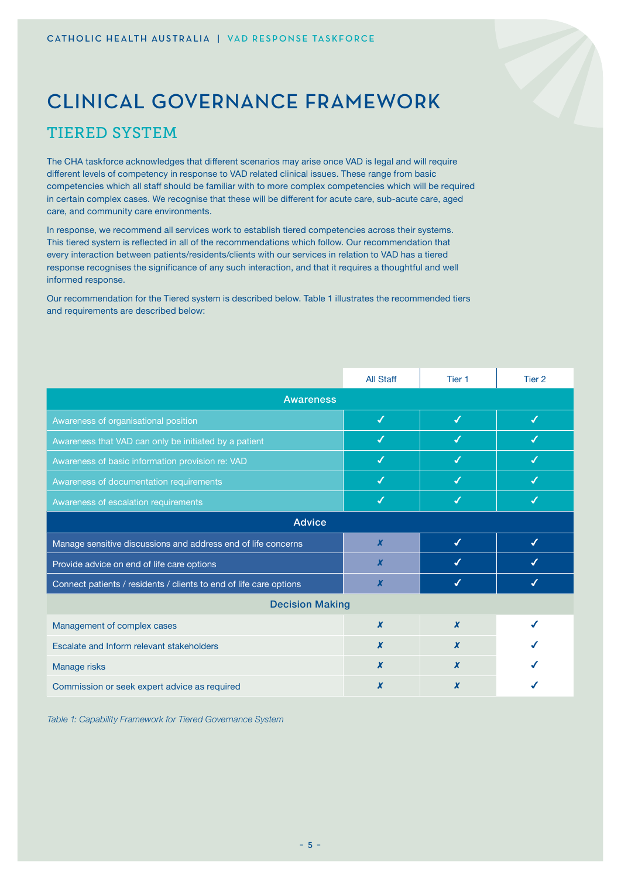

### <span id="page-4-0"></span>TIERED SYSTEM CLINICAL GOVERNANCE FRAMEWORK

The CHA taskforce acknowledges that different scenarios may arise once VAD is legal and will require different levels of competency in response to VAD related clinical issues. These range from basic competencies which all staff should be familiar with to more complex competencies which will be required in certain complex cases. We recognise that these will be different for acute care, sub-acute care, aged care, and community care environments.

In response, we recommend all services work to establish tiered competencies across their systems. This tiered system is reflected in all of the recommendations which follow. Our recommendation that every interaction between patients/residents/clients with our services in relation to VAD has a tiered response recognises the significance of any such interaction, and that it requires a thoughtful and well informed response.

Our recommendation for the Tiered system is described below. Table 1 illustrates the recommended tiers and requirements are described below:

|                                                                    | <b>All Staff</b> | Tier 1           | Tier 2 |
|--------------------------------------------------------------------|------------------|------------------|--------|
| <b>Awareness</b>                                                   |                  |                  |        |
| Awareness of organisational position                               | $\checkmark$     | $\checkmark$     |        |
| Awareness that VAD can only be initiated by a patient              | $\checkmark$     | ✔                |        |
| Awareness of basic information provision re: VAD                   | ✔                | ✔                |        |
| Awareness of documentation requirements                            | ✔                | √                |        |
| Awareness of escalation requirements                               | $\checkmark$     | ✔                |        |
| <b>Advice</b>                                                      |                  |                  |        |
| Manage sensitive discussions and address end of life concerns      | $\boldsymbol{x}$ | ✔                |        |
| Provide advice on end of life care options                         | $\boldsymbol{x}$ | ✔                |        |
| Connect patients / residents / clients to end of life care options | $\boldsymbol{x}$ | ✔                | ✔      |
| <b>Decision Making</b>                                             |                  |                  |        |
| Management of complex cases                                        | $\boldsymbol{x}$ | $\boldsymbol{x}$ |        |
| Escalate and Inform relevant stakeholders                          | $\boldsymbol{x}$ | X                |        |
| Manage risks                                                       | x                |                  |        |
| Commission or seek expert advice as required                       | X                | X                |        |

*Table 1: Capability Framework for Tiered Governance System*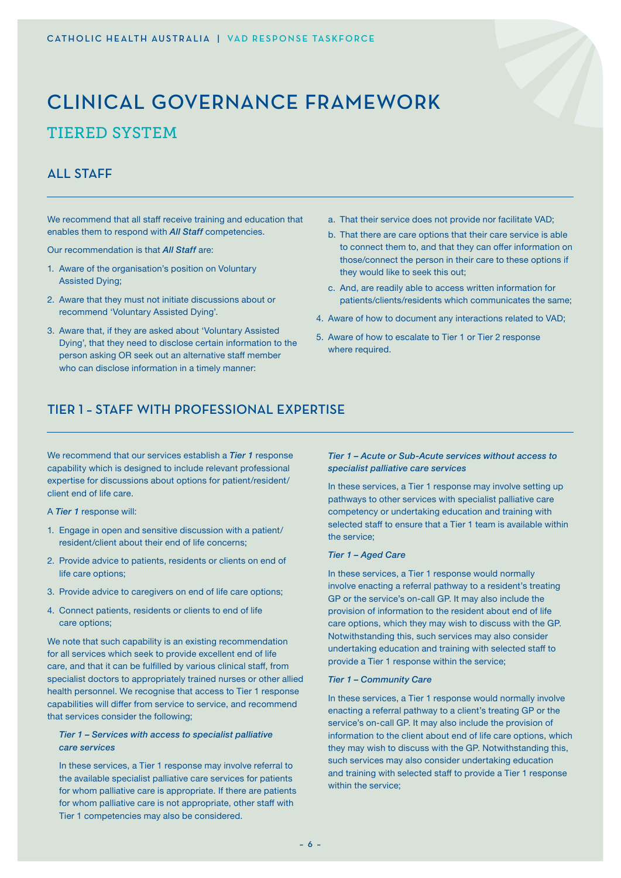### <span id="page-5-0"></span>TIERED SYSTEM CLINICAL GOVERNANCE FRAMEWORK

#### ALL STAFF

We recommend that all staff receive training and education that enables them to respond with *All Staff* competencies.

Our recommendation is that *All Staff* are:

- 1. Aware of the organisation's position on Voluntary Assisted Dying;
- 2. Aware that they must not initiate discussions about or recommend 'Voluntary Assisted Dying'.
- 3. Aware that, if they are asked about 'Voluntary Assisted Dying', that they need to disclose certain information to the person asking OR seek out an alternative staff member who can disclose information in a timely manner:
- a. That their service does not provide nor facilitate VAD;
- b. That there are care options that their care service is able to connect them to, and that they can offer information on those/connect the person in their care to these options if they would like to seek this out;
- c. And, are readily able to access written information for patients/clients/residents which communicates the same;
- 4. Aware of how to document any interactions related to VAD;
- 5. Aware of how to escalate to Tier 1 or Tier 2 response where required.

#### TIER 1 – STAFF WITH PROFESSIONAL EXPERTISE

We recommend that our services establish a *Tier 1* response capability which is designed to include relevant professional expertise for discussions about options for patient/resident/ client end of life care.

A *Tier 1* response will:

- 1. Engage in open and sensitive discussion with a patient/ resident/client about their end of life concerns;
- 2. Provide advice to patients, residents or clients on end of life care options;
- 3. Provide advice to caregivers on end of life care options;
- 4. Connect patients, residents or clients to end of life care options;

We note that such capability is an existing recommendation for all services which seek to provide excellent end of life care, and that it can be fulfilled by various clinical staff, from specialist doctors to appropriately trained nurses or other allied health personnel. We recognise that access to Tier 1 response capabilities will differ from service to service, and recommend that services consider the following;

#### *Tier 1 – Services with access to specialist palliative care services*

In these services, a Tier 1 response may involve referral to the available specialist palliative care services for patients for whom palliative care is appropriate. If there are patients for whom palliative care is not appropriate, other staff with Tier 1 competencies may also be considered.

#### *Tier 1 – Acute or Sub-Acute services without access to specialist palliative care services*

In these services, a Tier 1 response may involve setting up pathways to other services with specialist palliative care competency or undertaking education and training with selected staff to ensure that a Tier 1 team is available within the service;

#### *Tier 1 – Aged Care*

In these services, a Tier 1 response would normally involve enacting a referral pathway to a resident's treating GP or the service's on-call GP. It may also include the provision of information to the resident about end of life care options, which they may wish to discuss with the GP. Notwithstanding this, such services may also consider undertaking education and training with selected staff to provide a Tier 1 response within the service;

#### *Tier 1 – Community Care*

In these services, a Tier 1 response would normally involve enacting a referral pathway to a client's treating GP or the service's on-call GP. It may also include the provision of information to the client about end of life care options, which they may wish to discuss with the GP. Notwithstanding this, such services may also consider undertaking education and training with selected staff to provide a Tier 1 response within the service;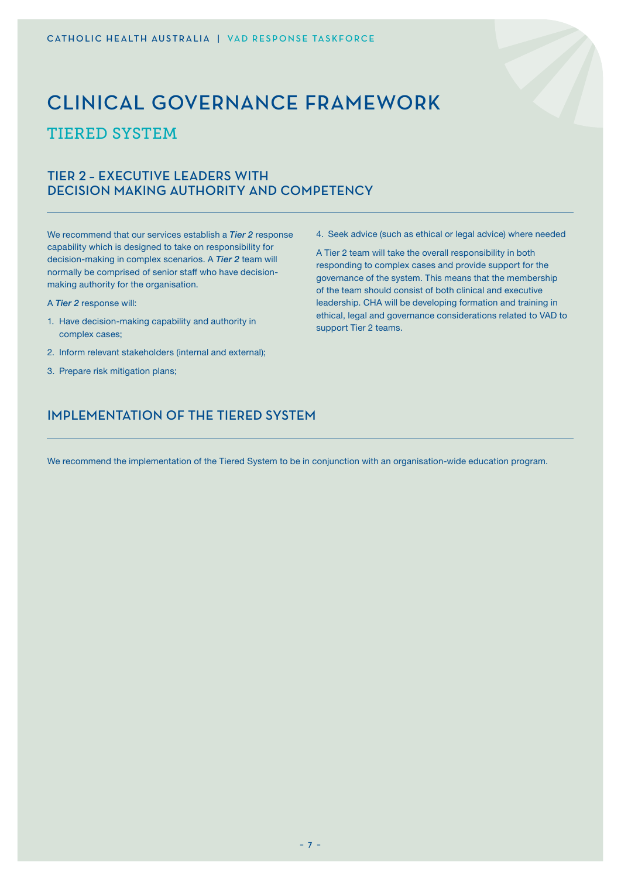## <span id="page-6-0"></span>TIERED SYSTEM CLINICAL GOVERNANCE FRAMEWORK

#### TIER 2 – EXECUTIVE LEADERS WITH DECISION MAKING AUTHORITY AND COMPETENCY

We recommend that our services establish a *Tier 2* response capability which is designed to take on responsibility for decision-making in complex scenarios. A *Tier 2* team will normally be comprised of senior staff who have decisionmaking authority for the organisation.

#### A *Tier 2* response will:

- 1. Have decision-making capability and authority in complex cases;
- 2. Inform relevant stakeholders (internal and external);
- 3. Prepare risk mitigation plans;

4. Seek advice (such as ethical or legal advice) where needed

A Tier 2 team will take the overall responsibility in both responding to complex cases and provide support for the governance of the system. This means that the membership of the team should consist of both clinical and executive leadership. CHA will be developing formation and training in ethical, legal and governance considerations related to VAD to support Tier 2 teams.

#### IMPLEMENTATION OF THE TIERED SYSTEM

We recommend the implementation of the Tiered System to be in conjunction with an organisation-wide education program.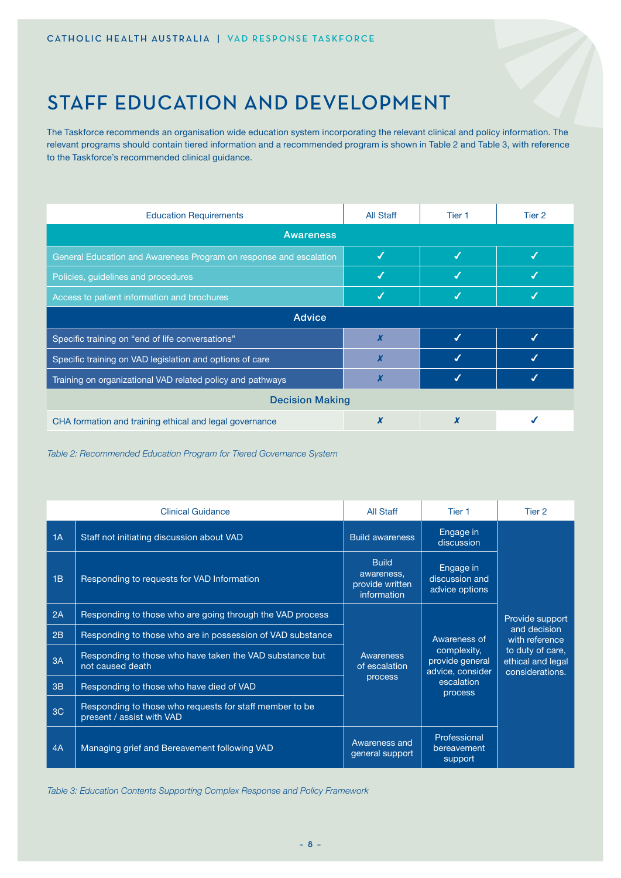### <span id="page-7-0"></span>STAFF EDUCATION AND DEVELOPMENT

The Taskforce recommends an organisation wide education system incorporating the relevant clinical and policy information. The relevant programs should contain tiered information and a recommended program is shown in Table 2 and Table 3, with reference to the Taskforce's recommended clinical guidance.

| <b>Education Requirements</b>                                      | <b>All Staff</b> | Tier <sub>1</sub> | Tier 2 |
|--------------------------------------------------------------------|------------------|-------------------|--------|
| <b>Awareness</b>                                                   |                  |                   |        |
| General Education and Awareness Program on response and escalation |                  |                   |        |
| Policies, guidelines and procedures                                | J                | √                 |        |
| Access to patient information and brochures                        |                  |                   |        |
| <b>Advice</b>                                                      |                  |                   |        |
| Specific training on "end of life conversations"                   | X                | ✔                 |        |
| Specific training on VAD legislation and options of care           |                  | M                 |        |
| Training on organizational VAD related policy and pathways         |                  |                   |        |
| <b>Decision Making</b>                                             |                  |                   |        |
| CHA formation and training ethical and legal governance            |                  |                   |        |

*Table 2: Recommended Education Program for Tiered Governance System*

|    | <b>Clinical Guidance</b>                                                             | <b>All Staff</b>                                             | Tier 1                                             | Tier 2                                                   |
|----|--------------------------------------------------------------------------------------|--------------------------------------------------------------|----------------------------------------------------|----------------------------------------------------------|
| 1A | Staff not initiating discussion about VAD                                            | <b>Build awareness</b>                                       | Engage in<br>discussion                            |                                                          |
| 1B | Responding to requests for VAD Information                                           | <b>Build</b><br>awareness,<br>provide written<br>information | Engage in<br>discussion and<br>advice options      |                                                          |
| 2A | Responding to those who are going through the VAD process                            | Awareness<br>of escalation<br>process                        |                                                    | Provide support                                          |
| 2B | Responding to those who are in possession of VAD substance                           |                                                              | Awareness of                                       | and decision<br>with reference                           |
| 3A | Responding to those who have taken the VAD substance but<br>not caused death         |                                                              | complexity,<br>provide general<br>advice, consider | to duty of care.<br>ethical and legal<br>considerations. |
| 3B | Responding to those who have died of VAD                                             |                                                              | escalation<br>process                              |                                                          |
| 3C | Responding to those who requests for staff member to be<br>present / assist with VAD |                                                              |                                                    |                                                          |
| 4A | Managing grief and Bereavement following VAD                                         | Awareness and<br>general support                             | Professional<br>bereavement<br>support             |                                                          |

*Table 3: Education Contents Supporting Complex Response and Policy Framework*